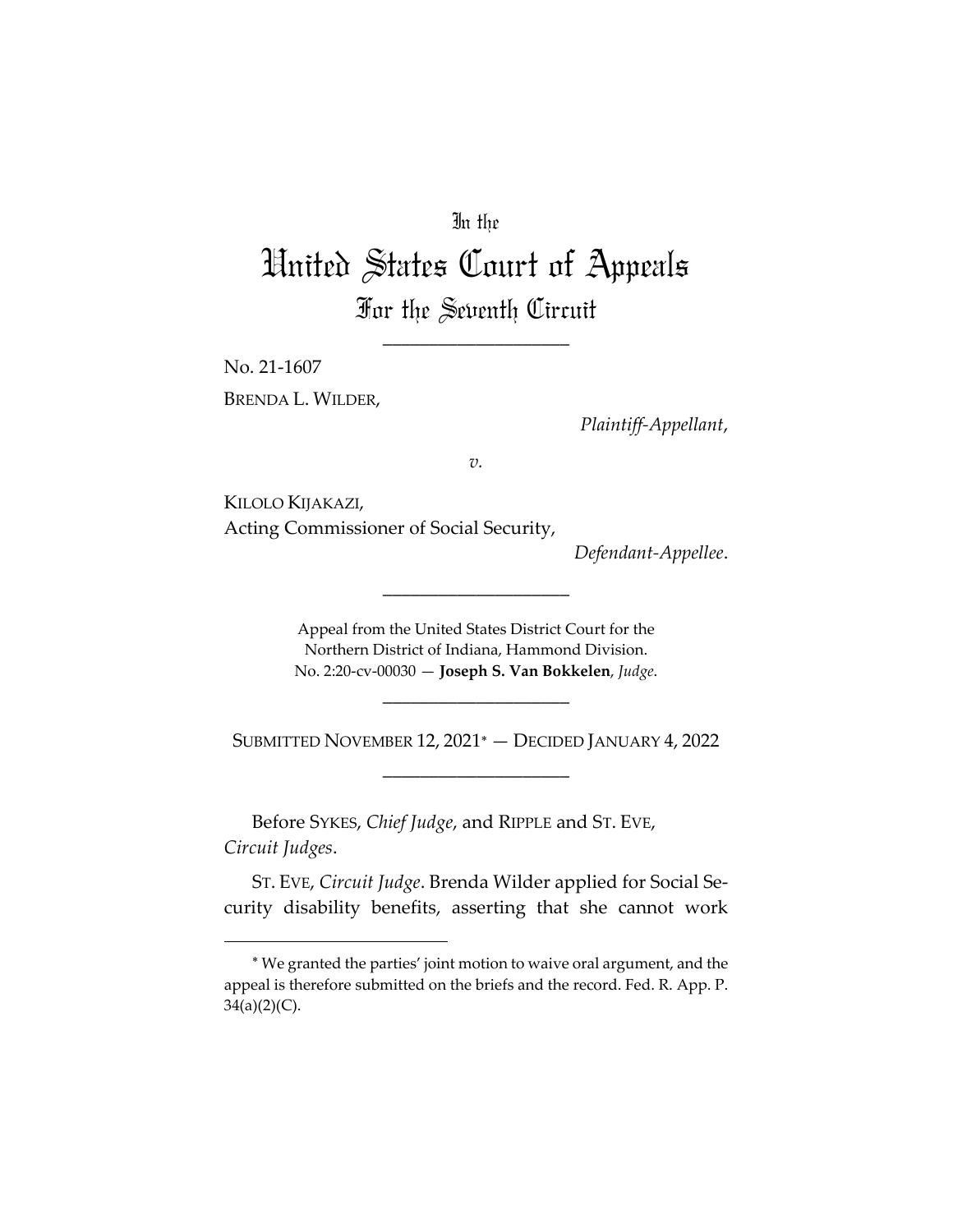## In the

# United States Court of Appeals For the Seventh Circuit

\_\_\_\_\_\_\_\_\_\_\_\_\_\_\_\_\_\_\_\_

No. 21‐1607 BRENDA L. WILDER,

*Plaintiff‐Appellant*,

*v.*

KILOLO KIJAKAZI, Acting Commissioner of Social Security,

*Defendant‐Appellee*.

Appeal from the United States District Court for the Northern District of Indiana, Hammond Division. No. 2:20‐cv‐00030 — **Joseph S. Van Bokkelen**, *Judge*.

\_\_\_\_\_\_\_\_\_\_\_\_\_\_\_\_\_\_\_\_

SUBMITTED NOVEMBER 12, 2021<sup>\*</sup> - DECIDED JANUARY 4, 2022 \_\_\_\_\_\_\_\_\_\_\_\_\_\_\_\_\_\_\_\_

\_\_\_\_\_\_\_\_\_\_\_\_\_\_\_\_\_\_\_\_

Before SYKES, *Chief Judge*, and RIPPLE and ST. EVE, *Circuit Judges*.

ST. EVE, *Circuit Judge*. Brenda Wilder applied for Social Se‐ curity disability benefits, asserting that she cannot work

We granted the parties' joint motion to waive oral argument, and the appeal is therefore submitted on the briefs and the record. Fed. R. App. P.  $34(a)(2)(C)$ .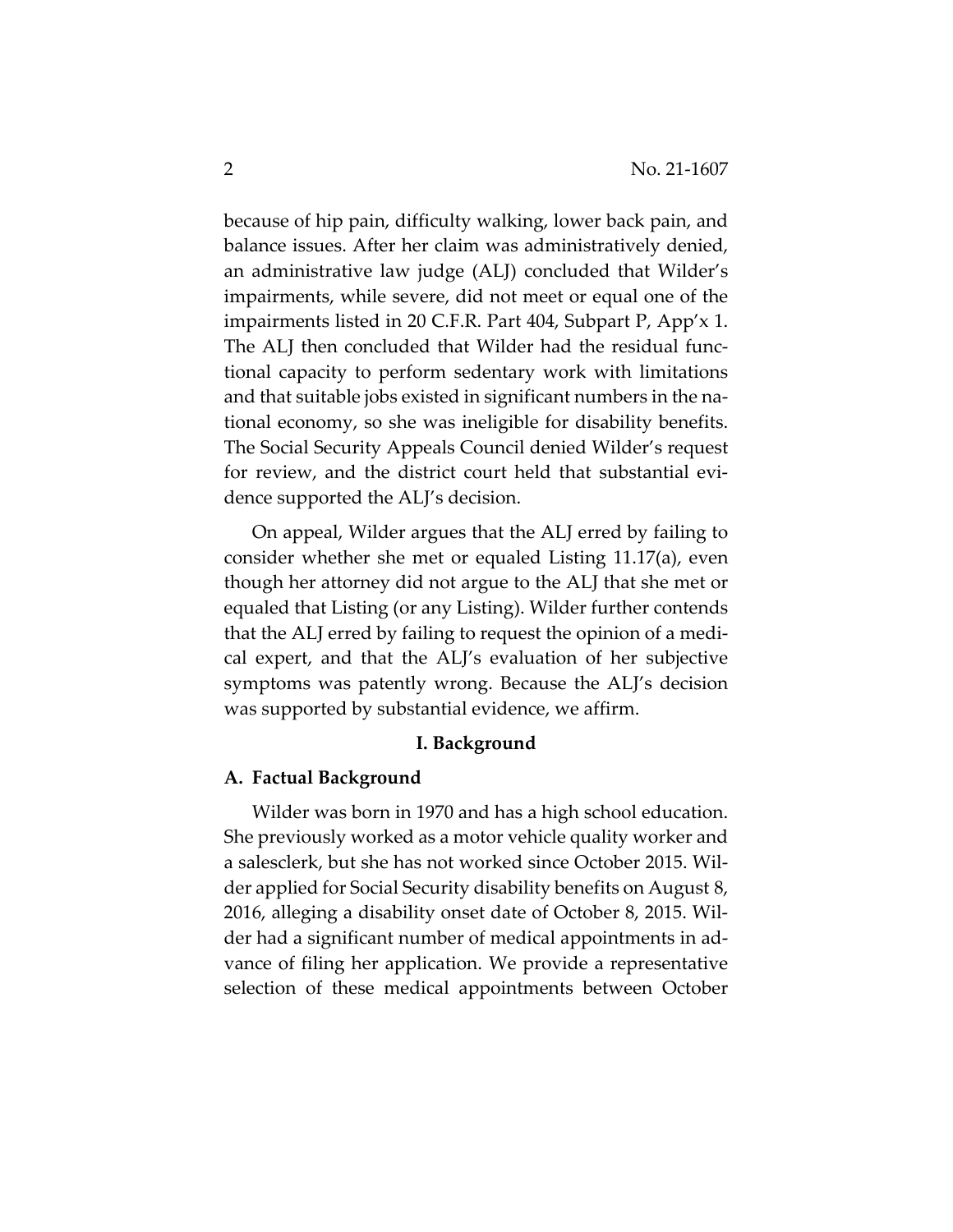because of hip pain, difficulty walking, lower back pain, and balance issues. After her claim was administratively denied, an administrative law judge (ALJ) concluded that Wilder's impairments, while severe, did not meet or equal one of the impairments listed in 20 C.F.R. Part 404, Subpart P, App'x 1. The ALJ then concluded that Wilder had the residual func‐ tional capacity to perform sedentary work with limitations and that suitable jobs existed in significant numbers in the na‐ tional economy, so she was ineligible for disability benefits. The Social Security Appeals Council denied Wilder's request for review, and the district court held that substantial evidence supported the ALJ's decision.

On appeal, Wilder argues that the ALJ erred by failing to consider whether she met or equaled Listing 11.17(a), even though her attorney did not argue to the ALJ that she met or equaled that Listing (or any Listing). Wilder further contends that the ALJ erred by failing to request the opinion of a medi‐ cal expert, and that the ALJ's evaluation of her subjective symptoms was patently wrong. Because the ALJ's decision was supported by substantial evidence, we affirm.

#### **I. Background**

## **A. Factual Background**

Wilder was born in 1970 and has a high school education. She previously worked as a motor vehicle quality worker and a salesclerk, but she has not worked since October 2015. Wil‐ der applied for Social Security disability benefits on August 8, 2016, alleging a disability onset date of October 8, 2015. Wil‐ der had a significant number of medical appointments in ad‐ vance of filing her application. We provide a representative selection of these medical appointments between October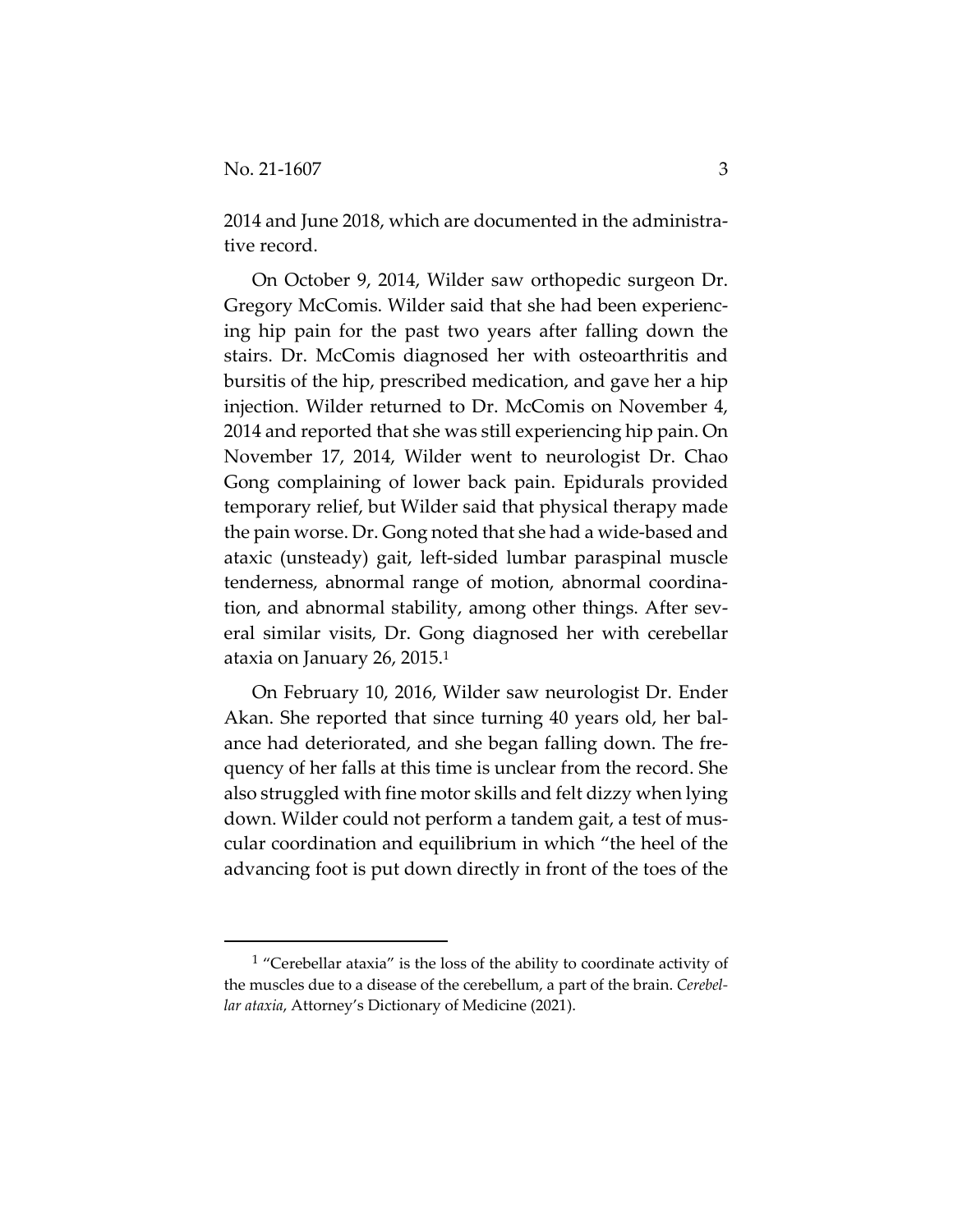2014 and June 2018, which are documented in the administra‐ tive record.

On October 9, 2014, Wilder saw orthopedic surgeon Dr. Gregory McComis. Wilder said that she had been experienc‐ ing hip pain for the past two years after falling down the stairs. Dr. McComis diagnosed her with osteoarthritis and bursitis of the hip, prescribed medication, and gave her a hip injection. Wilder returned to Dr. McComis on November 4, 2014 and reported that she was still experiencing hip pain. On November 17, 2014, Wilder went to neurologist Dr. Chao Gong complaining of lower back pain. Epidurals provided temporary relief, but Wilder said that physical therapy made the pain worse. Dr. Gong noted that she had a wide‐based and ataxic (unsteady) gait, left‐sided lumbar paraspinal muscle tenderness, abnormal range of motion, abnormal coordina‐ tion, and abnormal stability, among other things. After sev‐ eral similar visits, Dr. Gong diagnosed her with cerebellar ataxia on January 26, 2015.1

On February 10, 2016, Wilder saw neurologist Dr. Ender Akan. She reported that since turning 40 years old, her bal‐ ance had deteriorated, and she began falling down. The fre‐ quency of her falls at this time is unclear from the record. She also struggled with fine motor skills and felt dizzy when lying down. Wilder could not perform a tandem gait, a test of mus‐ cular coordination and equilibrium in which "the heel of the advancing foot is put down directly in front of the toes of the

<sup>1</sup> "Cerebellar ataxia" is the loss of the ability to coordinate activity of the muscles due to a disease of the cerebellum, a part of the brain. *Cerebel‐ lar ataxia*, Attorney's Dictionary of Medicine (2021).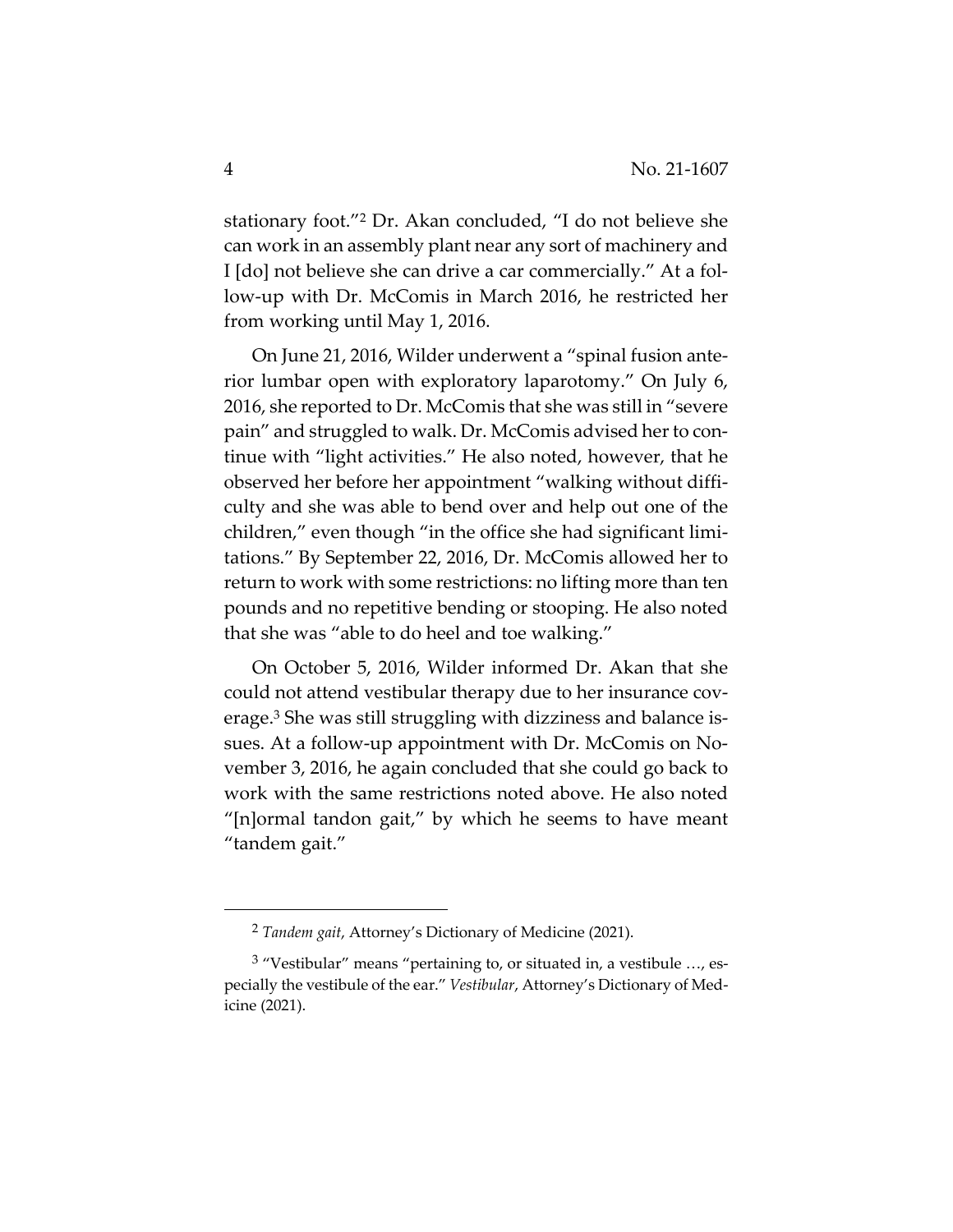stationary foot."2 Dr. Akan concluded, "I do not believe she can work in an assembly plant near any sort of machinery and I [do] not believe she can drive a car commercially." At a fol‐ low‐up with Dr. McComis in March 2016, he restricted her from working until May 1, 2016.

On June 21, 2016, Wilder underwent a "spinal fusion ante‐ rior lumbar open with exploratory laparotomy." On July 6, 2016, she reported to Dr. McComis that she was still in "severe pain" and struggled to walk. Dr. McComis advised her to continue with "light activities." He also noted, however, that he observed her before her appointment "walking without diffi‐ culty and she was able to bend over and help out one of the children," even though "in the office she had significant limi‐ tations." By September 22, 2016, Dr. McComis allowed her to return to work with some restrictions: no lifting more than ten pounds and no repetitive bending or stooping. He also noted that she was "able to do heel and toe walking."

On October 5, 2016, Wilder informed Dr. Akan that she could not attend vestibular therapy due to her insurance coverage.3 She was still struggling with dizziness and balance is‐ sues. At a follow-up appointment with Dr. McComis on November 3, 2016, he again concluded that she could go back to work with the same restrictions noted above. He also noted "[n]ormal tandon gait," by which he seems to have meant "tandem gait."

<sup>2</sup> *Tandem gait*, Attorney's Dictionary of Medicine (2021).

 $3$  "Vestibular" means "pertaining to, or situated in, a vestibule ..., especially the vestibule of the ear." *Vestibular*, Attorney's Dictionary of Med‐ icine (2021).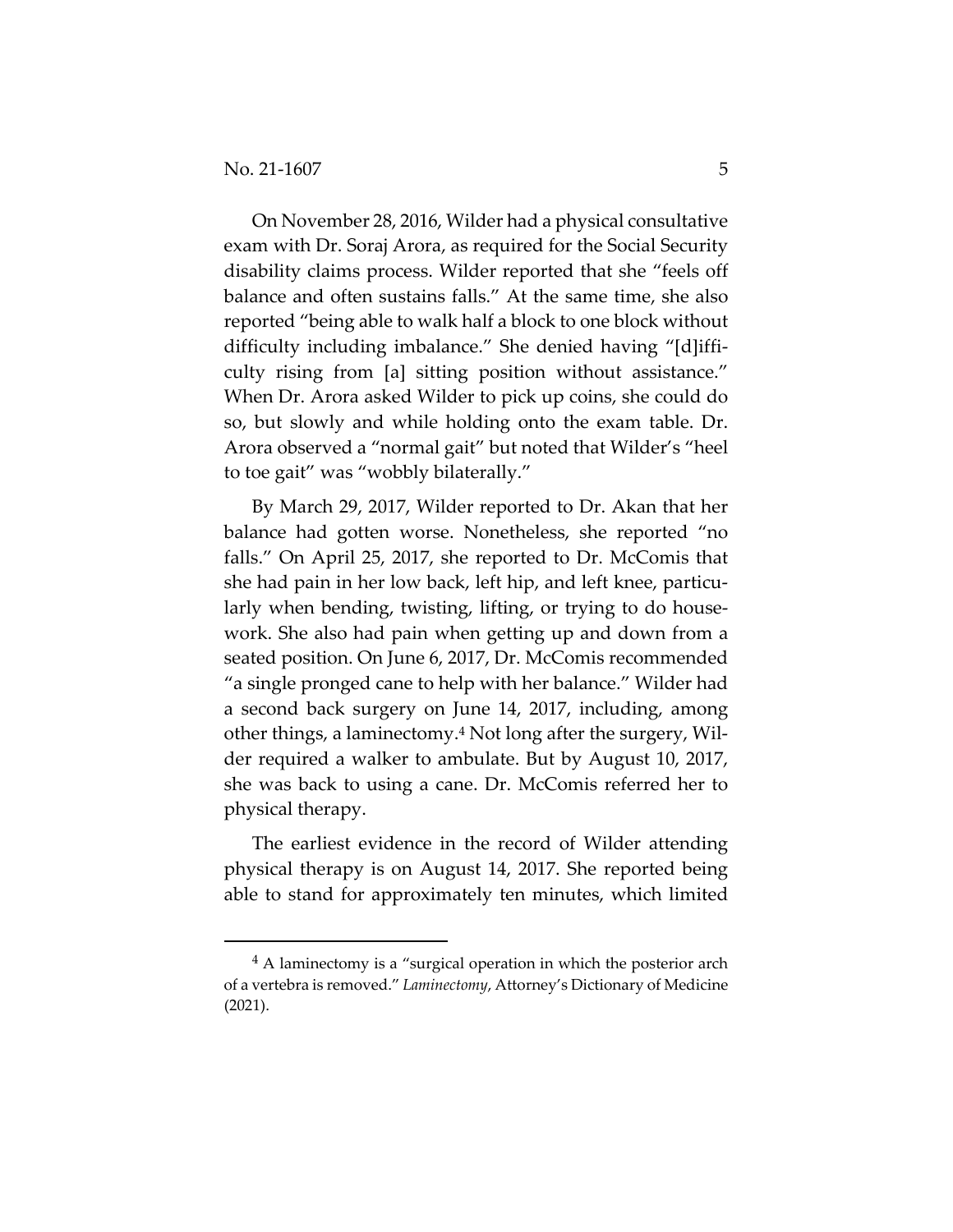On November 28, 2016, Wilder had a physical consultative exam with Dr. Soraj Arora, as required for the Social Security disability claims process. Wilder reported that she "feels off balance and often sustains falls." At the same time, she also reported "being able to walk half a block to one block without difficulty including imbalance." She denied having "[d]iffi‐ culty rising from [a] sitting position without assistance." When Dr. Arora asked Wilder to pick up coins, she could do so, but slowly and while holding onto the exam table. Dr. Arora observed a "normal gait" but noted that Wilder's "heel to toe gait" was "wobbly bilaterally."

By March 29, 2017, Wilder reported to Dr. Akan that her balance had gotten worse. Nonetheless, she reported "no falls." On April 25, 2017, she reported to Dr. McComis that she had pain in her low back, left hip, and left knee, particu‐ larly when bending, twisting, lifting, or trying to do house‐ work. She also had pain when getting up and down from a seated position. On June 6, 2017, Dr. McComis recommended "a single pronged cane to help with her balance." Wilder had a second back surgery on June 14, 2017, including, among other things, a laminectomy.4 Not long after the surgery, Wil‐ der required a walker to ambulate. But by August 10, 2017, she was back to using a cane. Dr. McComis referred her to physical therapy.

The earliest evidence in the record of Wilder attending physical therapy is on August 14, 2017. She reported being able to stand for approximately ten minutes, which limited

<sup>4</sup> A laminectomy is a "surgical operation in which the posterior arch of a vertebra is removed." *Laminectomy*, Attorney's Dictionary of Medicine (2021).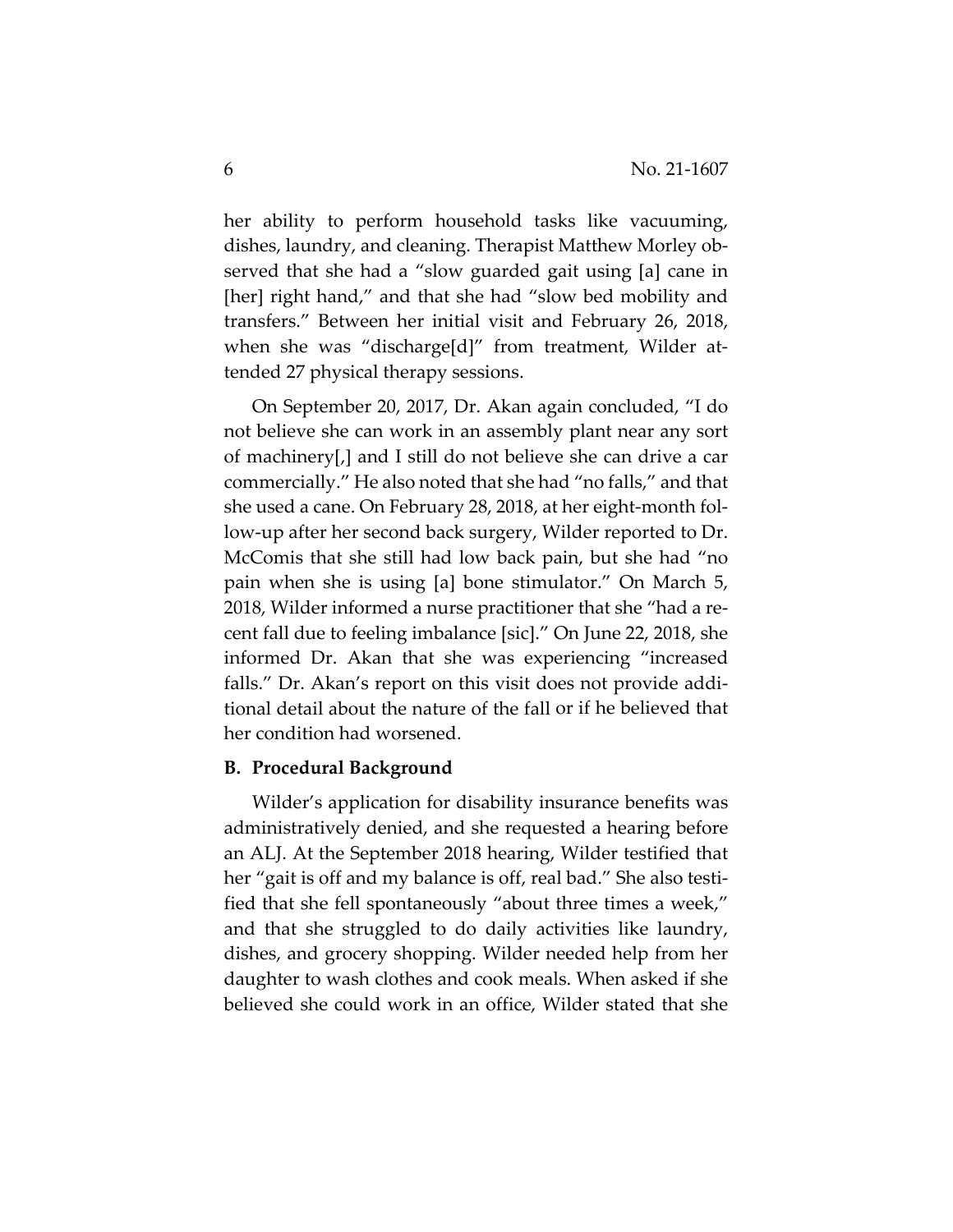her ability to perform household tasks like vacuuming, dishes, laundry, and cleaning. Therapist Matthew Morley ob‐ served that she had a "slow guarded gait using [a] cane in [her] right hand," and that she had "slow bed mobility and transfers." Between her initial visit and February 26, 2018, when she was "discharge[d]" from treatment, Wilder attended 27 physical therapy sessions.

On September 20, 2017, Dr. Akan again concluded, "I do not believe she can work in an assembly plant near any sort of machinery[,] and I still do not believe she can drive a car commercially." He also noted that she had "no falls," and that she used a cane. On February 28, 2018, at her eight-month follow‐up after her second back surgery, Wilder reported to Dr. McComis that she still had low back pain, but she had "no pain when she is using [a] bone stimulator." On March 5, 2018, Wilder informed a nurse practitioner that she "had a re‐ cent fall due to feeling imbalance [sic]." On June 22, 2018, she informed Dr. Akan that she was experiencing "increased falls." Dr. Akan's report on this visit does not provide additional detail about the nature of the fall or if he believed that her condition had worsened.

## **B. Procedural Background**

Wilder's application for disability insurance benefits was administratively denied, and she requested a hearing before an ALJ. At the September 2018 hearing, Wilder testified that her "gait is off and my balance is off, real bad." She also testified that she fell spontaneously "about three times a week," and that she struggled to do daily activities like laundry, dishes, and grocery shopping. Wilder needed help from her daughter to wash clothes and cook meals. When asked if she believed she could work in an office, Wilder stated that she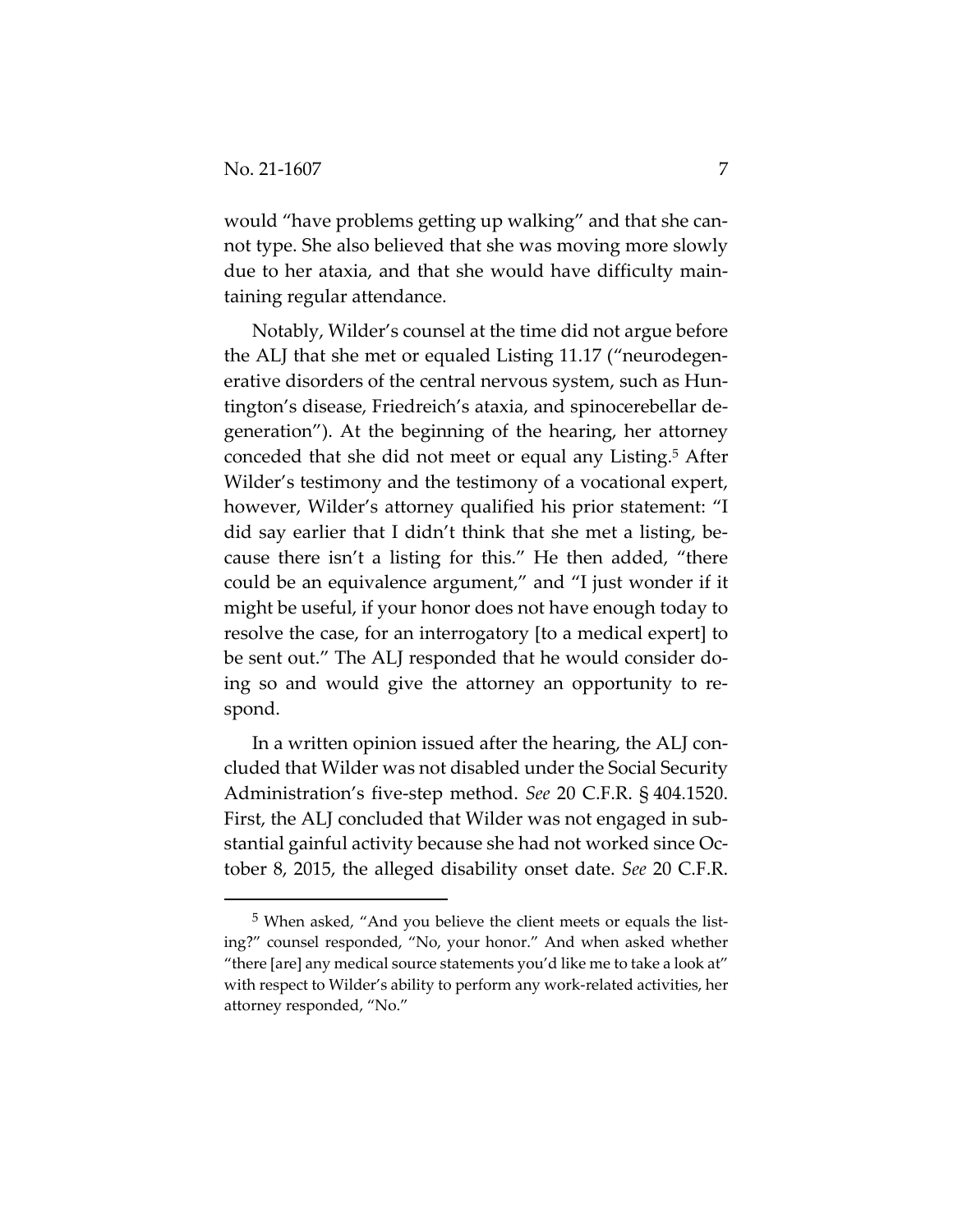would "have problems getting up walking" and that she cannot type. She also believed that she was moving more slowly due to her ataxia, and that she would have difficulty main‐ taining regular attendance.

Notably, Wilder's counsel at the time did not argue before the ALJ that she met or equaled Listing 11.17 ("neurodegen‐ erative disorders of the central nervous system, such as Hun‐ tington's disease, Friedreich's ataxia, and spinocerebellar de‐ generation"). At the beginning of the hearing, her attorney conceded that she did not meet or equal any Listing.5 After Wilder's testimony and the testimony of a vocational expert, however, Wilder's attorney qualified his prior statement: "I did say earlier that I didn't think that she met a listing, be‐ cause there isn't a listing for this." He then added, "there could be an equivalence argument," and "I just wonder if it might be useful, if your honor does not have enough today to resolve the case, for an interrogatory [to a medical expert] to be sent out." The ALJ responded that he would consider doing so and would give the attorney an opportunity to re‐ spond.

In a written opinion issued after the hearing, the ALJ con‐ cluded that Wilder was not disabled under the Social Security Administration's five‐step method. *See* 20 C.F.R. § 404.1520. First, the ALJ concluded that Wilder was not engaged in substantial gainful activity because she had not worked since Oc‐ tober 8, 2015, the alleged disability onset date. *See* 20 C.F.R.

<sup>5</sup> When asked, "And you believe the client meets or equals the list‐ ing?" counsel responded, "No, your honor." And when asked whether "there [are] any medical source statements you'd like me to take a look at" with respect to Wilder's ability to perform any work‐related activities, her attorney responded, "No."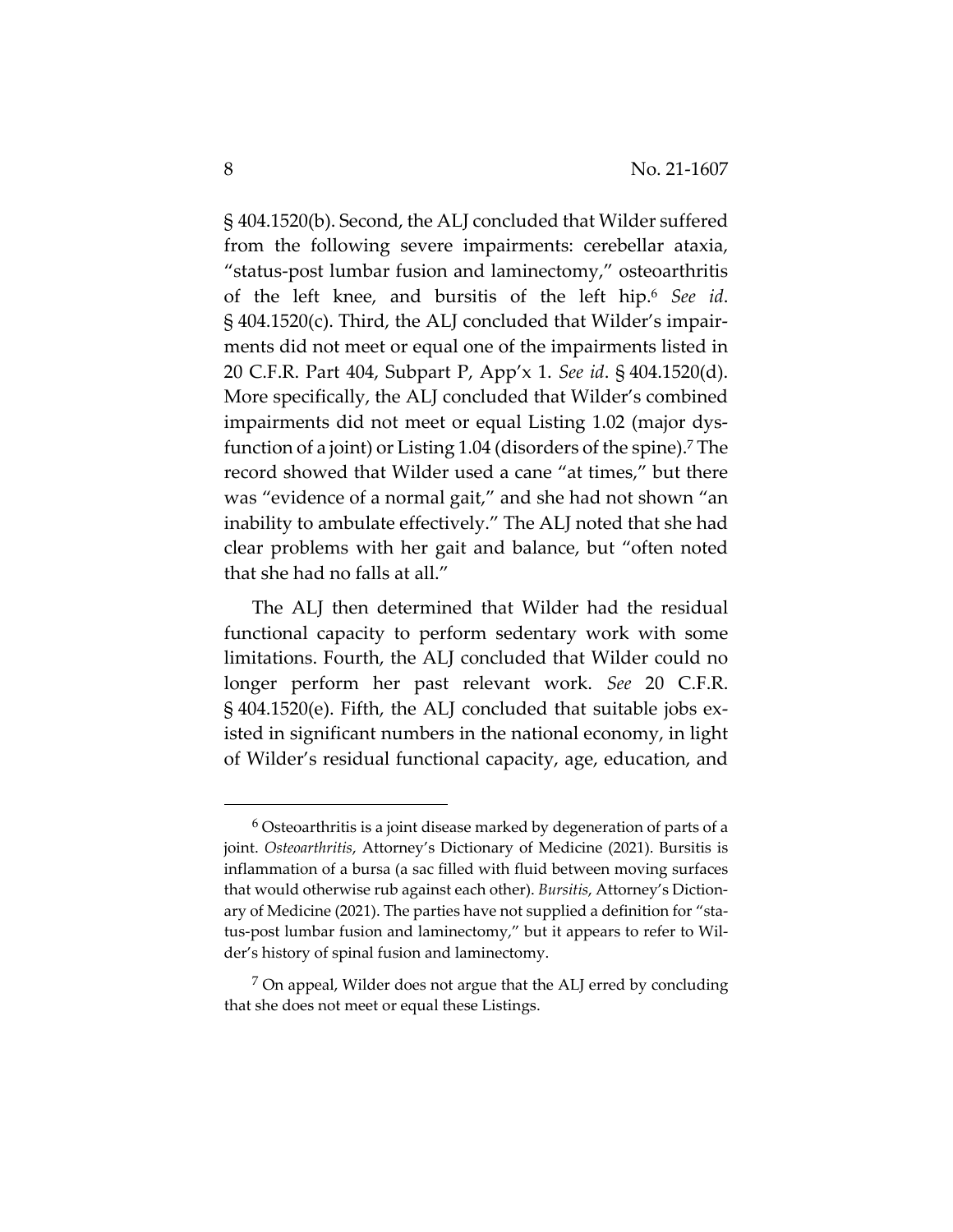§ 404.1520(b). Second, the ALJ concluded that Wilder suffered from the following severe impairments: cerebellar ataxia, "status‐post lumbar fusion and laminectomy," osteoarthritis of the left knee, and bursitis of the left hip.6 *See id*. § 404.1520(c). Third, the ALJ concluded that Wilder's impair‐ ments did not meet or equal one of the impairments listed in 20 C.F.R. Part 404, Subpart P, App'x 1. *See id*. § 404.1520(d). More specifically, the ALJ concluded that Wilder's combined impairments did not meet or equal Listing 1.02 (major dys‐ function of a joint) or Listing 1.04 (disorders of the spine).<sup>7</sup> The record showed that Wilder used a cane "at times," but there was "evidence of a normal gait," and she had not shown "an inability to ambulate effectively." The ALJ noted that she had clear problems with her gait and balance, but "often noted that she had no falls at all."

The ALJ then determined that Wilder had the residual functional capacity to perform sedentary work with some limitations. Fourth, the ALJ concluded that Wilder could no longer perform her past relevant work. *See* 20 C.F.R. § 404.1520(e). Fifth, the ALJ concluded that suitable jobs ex‐ isted in significant numbers in the national economy, in light of Wilder's residual functional capacity, age, education, and

<sup>6</sup> Osteoarthritis is a joint disease marked by degeneration of parts of a joint. *Osteoarthritis*, Attorney's Dictionary of Medicine (2021). Bursitis is inflammation of a bursa (a sac filled with fluid between moving surfaces that would otherwise rub against each other). *Bursitis*, Attorney's Diction‐ ary of Medicine (2021). The parties have not supplied a definition for "status‐post lumbar fusion and laminectomy," but it appears to refer to Wil‐ der's history of spinal fusion and laminectomy.

<sup>7</sup> On appeal, Wilder does not argue that the ALJ erred by concluding that she does not meet or equal these Listings.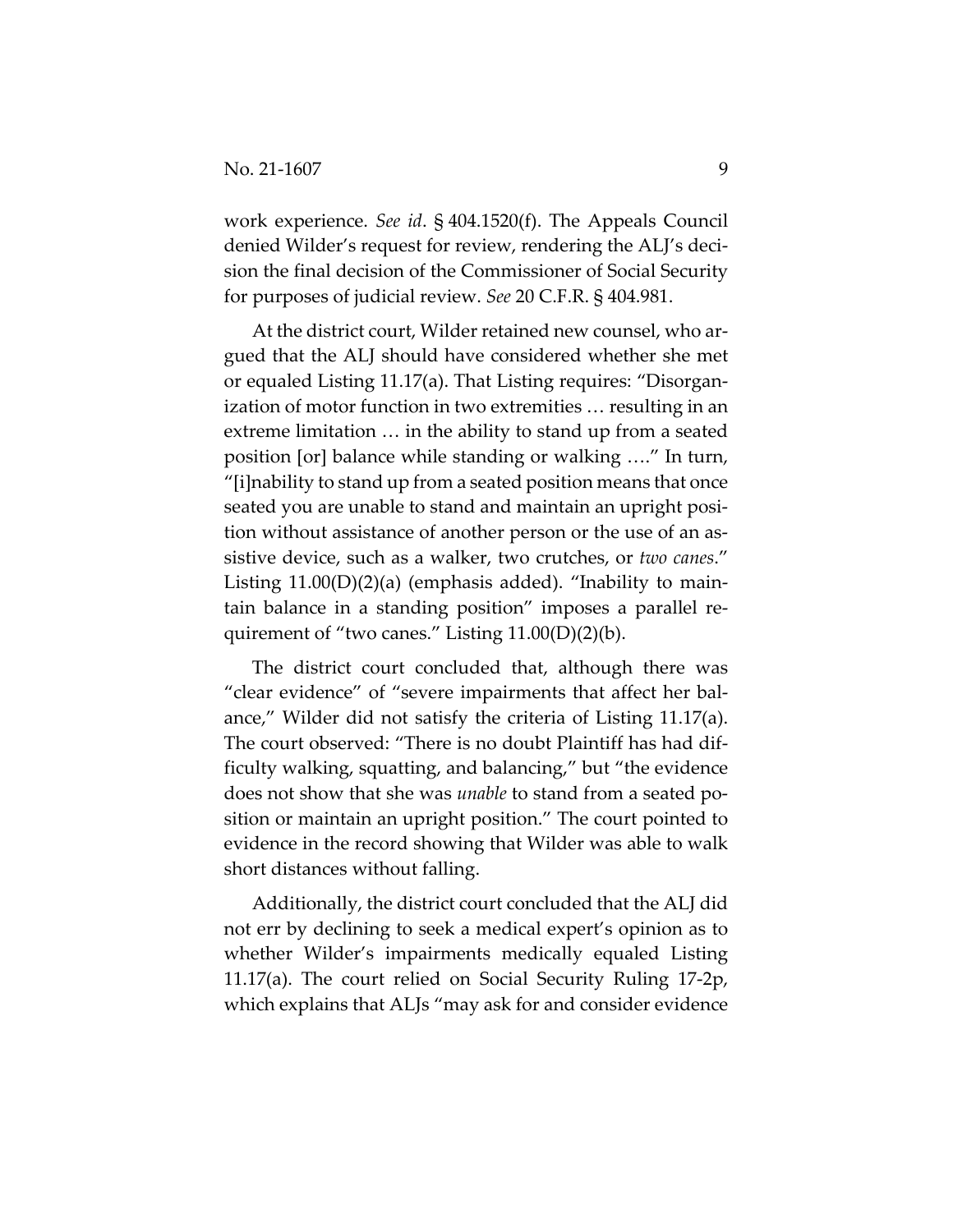work experience. *See id*. § 404.1520(f). The Appeals Council denied Wilder's request for review, rendering the ALJ's deci‐ sion the final decision of the Commissioner of Social Security for purposes of judicial review. *See* 20 C.F.R. § 404.981.

At the district court, Wilder retained new counsel, who ar‐ gued that the ALJ should have considered whether she met or equaled Listing 11.17(a). That Listing requires: "Disorgan‐ ization of motor function in two extremities … resulting in an extreme limitation … in the ability to stand up from a seated position [or] balance while standing or walking …." In turn, "[i]nability to stand up from a seated position means that once seated you are unable to stand and maintain an upright posi‐ tion without assistance of another person or the use of an assistive device, such as a walker, two crutches, or *two canes*." Listing  $11.00(D)(2)(a)$  (emphasis added). "Inability to maintain balance in a standing position" imposes a parallel re‐ quirement of "two canes." Listing 11.00(D)(2)(b).

The district court concluded that, although there was "clear evidence" of "severe impairments that affect her bal‐ ance," Wilder did not satisfy the criteria of Listing 11.17(a). The court observed: "There is no doubt Plaintiff has had dif‐ ficulty walking, squatting, and balancing," but "the evidence does not show that she was *unable* to stand from a seated po‐ sition or maintain an upright position." The court pointed to evidence in the record showing that Wilder was able to walk short distances without falling.

Additionally, the district court concluded that the ALJ did not err by declining to seek a medical expert's opinion as to whether Wilder's impairments medically equaled Listing 11.17(a). The court relied on Social Security Ruling 17‐2p, which explains that ALJs "may ask for and consider evidence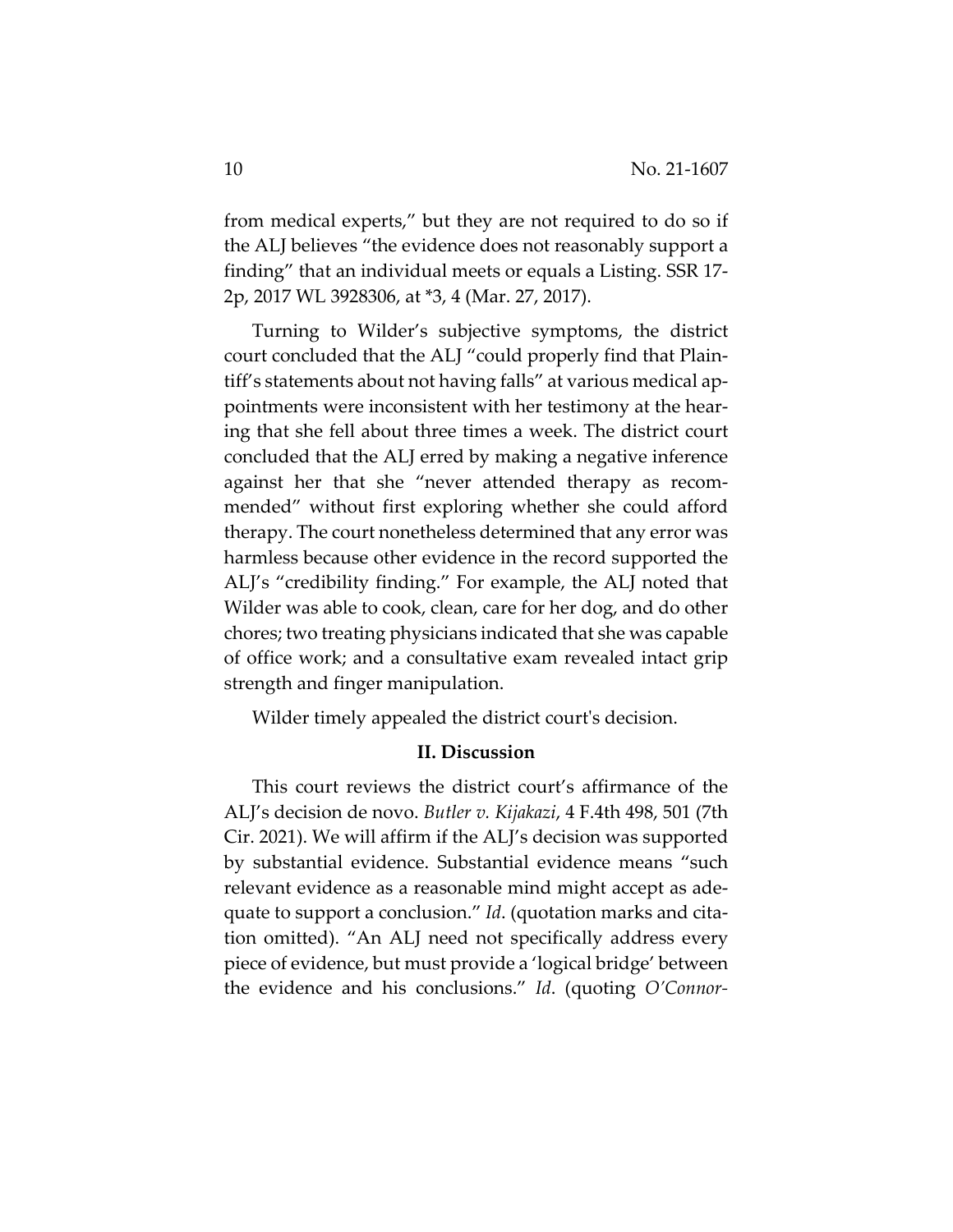from medical experts," but they are not required to do so if the ALJ believes "the evidence does not reasonably support a finding" that an individual meets or equals a Listing. SSR 17‐ 2p, 2017 WL 3928306, at \*3, 4 (Mar. 27, 2017).

Turning to Wilder's subjective symptoms, the district court concluded that the ALJ "could properly find that Plain‐ tiff's statements about not having falls" at various medical ap‐ pointments were inconsistent with her testimony at the hear‐ ing that she fell about three times a week. The district court concluded that the ALJ erred by making a negative inference against her that she "never attended therapy as recom‐ mended" without first exploring whether she could afford therapy. The court nonetheless determined that any error was harmless because other evidence in the record supported the ALJ's "credibility finding." For example, the ALJ noted that Wilder was able to cook, clean, care for her dog, and do other chores; two treating physicians indicated that she was capable of office work; and a consultative exam revealed intact grip strength and finger manipulation.

Wilder timely appealed the district court's decision.

## **II. Discussion**

This court reviews the district court's affirmance of the ALJ's decision de novo. *Butler v. Kijakazi*, 4 F.4th 498, 501 (7th Cir. 2021). We will affirm if the ALJ's decision was supported by substantial evidence. Substantial evidence means "such relevant evidence as a reasonable mind might accept as ade‐ quate to support a conclusion." *Id*. (quotation marks and cita‐ tion omitted). "An ALJ need not specifically address every piece of evidence, but must provide a 'logical bridge' between the evidence and his conclusions." *Id*. (quoting *O'Connor‐*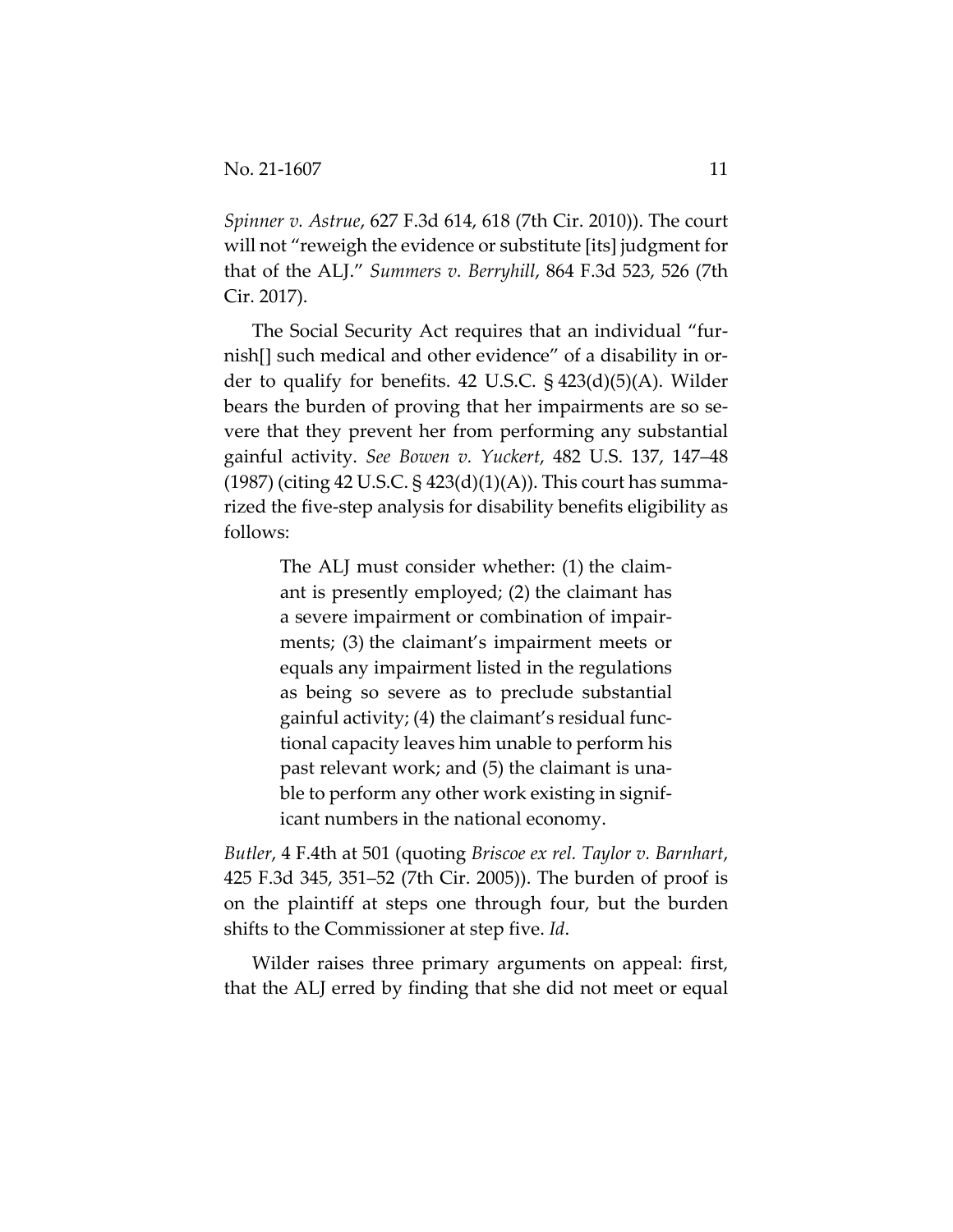*Spinner v. Astrue*, 627 F.3d 614, 618 (7th Cir. 2010)). The court will not "reweigh the evidence or substitute [its] judgment for that of the ALJ." *Summers v. Berryhill*, 864 F.3d 523, 526 (7th Cir. 2017).

The Social Security Act requires that an individual "fur‐ nish[] such medical and other evidence" of a disability in order to qualify for benefits. 42 U.S.C. § 423(d)(5)(A). Wilder bears the burden of proving that her impairments are so se‐ vere that they prevent her from performing any substantial gainful activity. *See Bowen v. Yuckert*, 482 U.S. 137, 147–48  $(1987)$  (citing 42 U.S.C. § 423 $(d)(1)(A)$ ). This court has summarized the five‐step analysis for disability benefits eligibility as follows:

> The ALJ must consider whether: (1) the claim‐ ant is presently employed; (2) the claimant has a severe impairment or combination of impair‐ ments; (3) the claimant's impairment meets or equals any impairment listed in the regulations as being so severe as to preclude substantial gainful activity; (4) the claimant's residual func‐ tional capacity leaves him unable to perform his past relevant work; and (5) the claimant is una‐ ble to perform any other work existing in signif‐ icant numbers in the national economy.

*Butler*, 4 F.4th at 501 (quoting *Briscoe ex rel. Taylor v. Barnhart*, 425 F.3d 345, 351–52 (7th Cir. 2005)). The burden of proof is on the plaintiff at steps one through four, but the burden shifts to the Commissioner at step five. *Id*.

Wilder raises three primary arguments on appeal: first, that the ALJ erred by finding that she did not meet or equal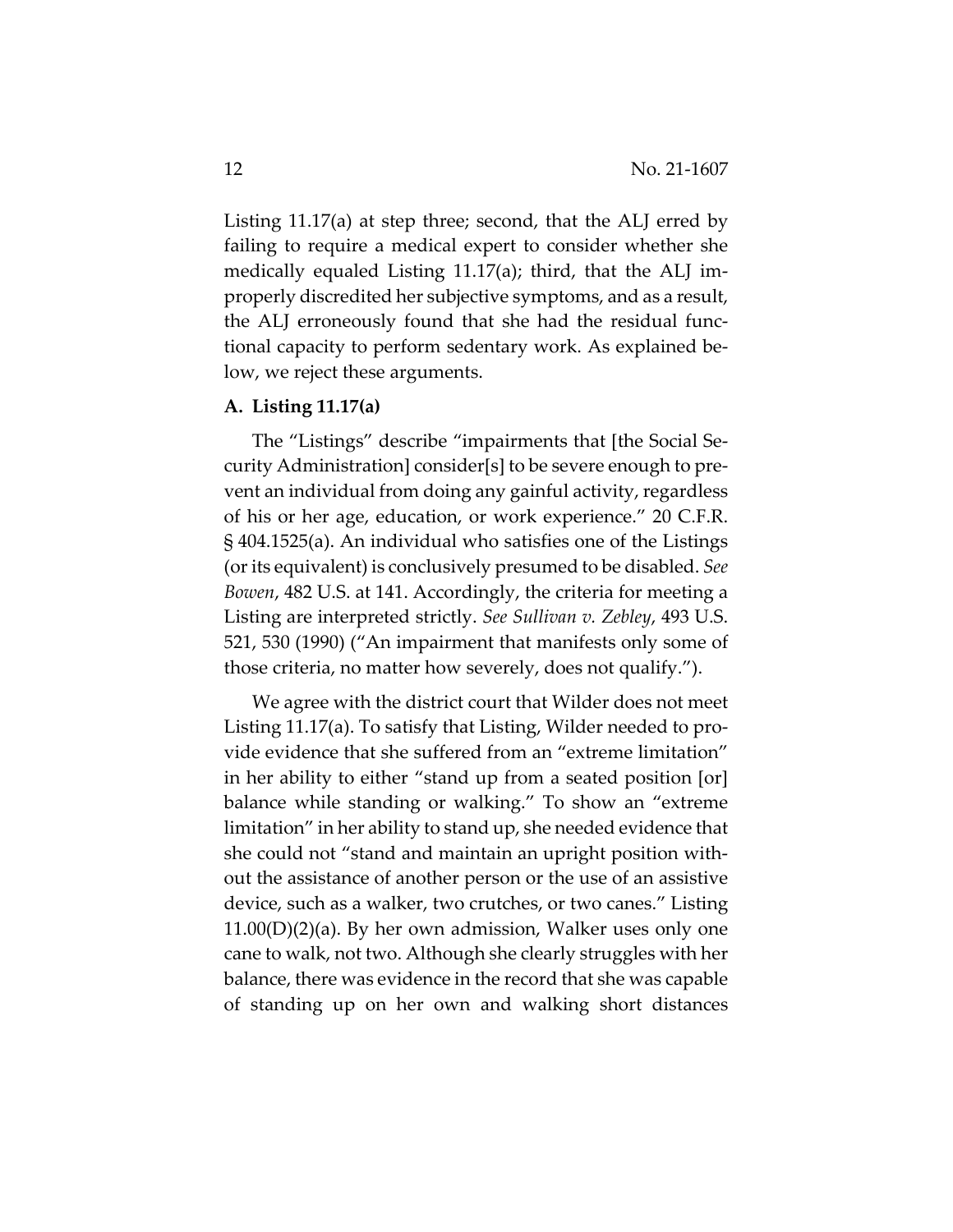Listing 11.17(a) at step three; second, that the ALJ erred by failing to require a medical expert to consider whether she medically equaled Listing 11.17(a); third, that the ALJ im‐ properly discredited her subjective symptoms, and as a result, the ALJ erroneously found that she had the residual func‐ tional capacity to perform sedentary work. As explained be‐ low, we reject these arguments.

## **A. Listing 11.17(a)**

The "Listings" describe "impairments that [the Social Se‐ curity Administration] consider[s] to be severe enough to pre‐ vent an individual from doing any gainful activity, regardless of his or her age, education, or work experience." 20 C.F.R. § 404.1525(a). An individual who satisfies one of the Listings (orits equivalent) is conclusively presumed to be disabled. *See Bowen*, 482 U.S. at 141. Accordingly, the criteria for meeting a Listing are interpreted strictly. *See Sullivan v. Zebley*, 493 U.S. 521, 530 (1990) ("An impairment that manifests only some of those criteria, no matter how severely, does not qualify.").

We agree with the district court that Wilder does not meet Listing 11.17(a). To satisfy that Listing, Wilder needed to pro‐ vide evidence that she suffered from an "extreme limitation" in her ability to either "stand up from a seated position [or] balance while standing or walking." To show an "extreme limitation" in her ability to stand up, she needed evidence that she could not "stand and maintain an upright position with‐ out the assistance of another person or the use of an assistive device, such as a walker, two crutches, or two canes." Listing  $11.00(D)(2)(a)$ . By her own admission, Walker uses only one cane to walk, not two. Although she clearly struggles with her balance, there was evidence in the record that she was capable of standing up on her own and walking short distances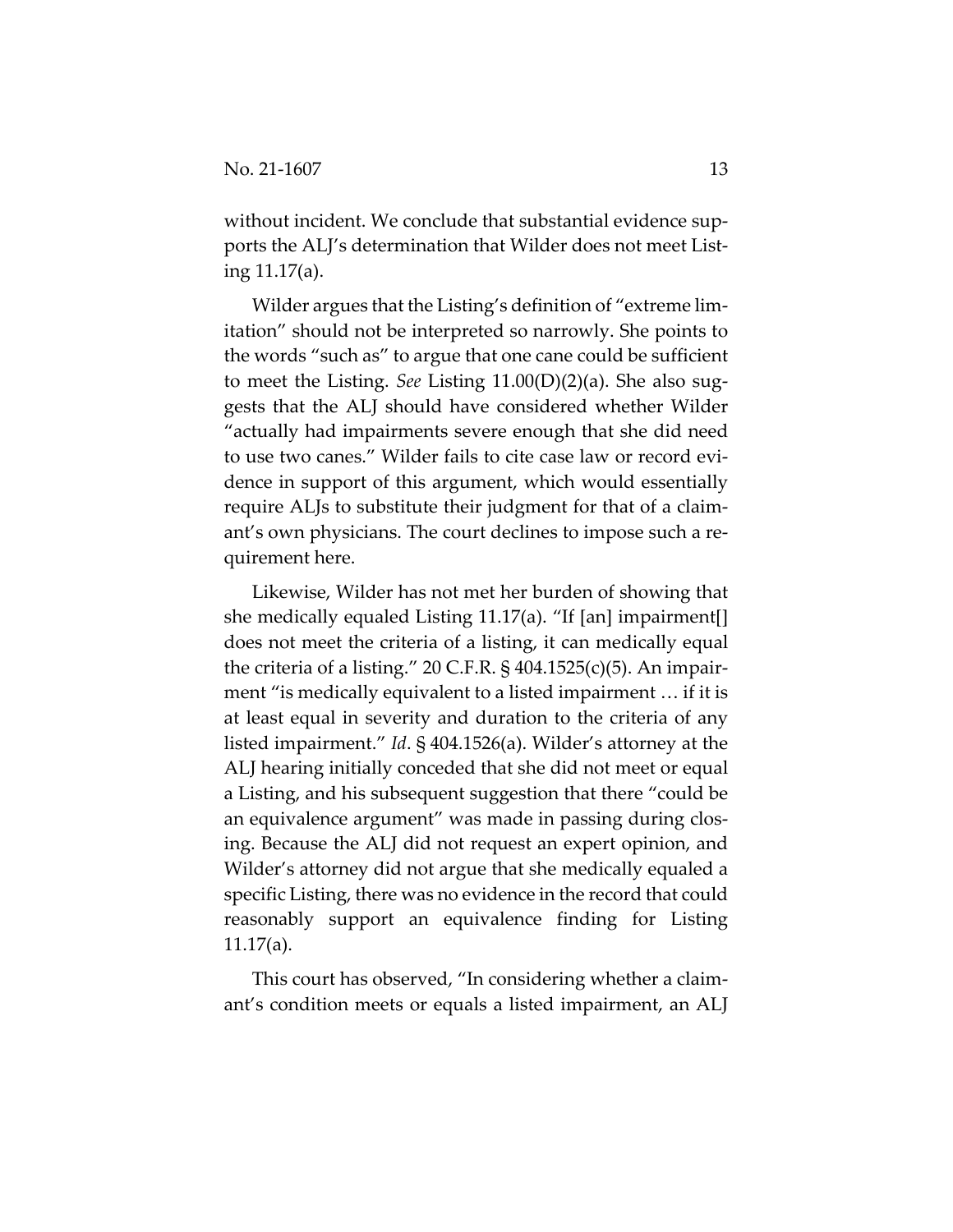without incident. We conclude that substantial evidence supports the ALJ's determination that Wilder does not meet List‐ ing 11.17(a).

Wilder argues that the Listing's definition of "extreme lim‐ itation" should not be interpreted so narrowly. She points to the words "such as" to argue that one cane could be sufficient to meet the Listing. *See* Listing 11.00(D)(2)(a). She also sug‐ gests that the ALJ should have considered whether Wilder "actually had impairments severe enough that she did need to use two canes." Wilder fails to cite case law or record evi‐ dence in support of this argument, which would essentially require ALJs to substitute their judgment for that of a claim‐ ant's own physicians. The court declines to impose such a re‐ quirement here.

Likewise, Wilder has not met her burden of showing that she medically equaled Listing 11.17(a). "If [an] impairment[] does not meet the criteria of a listing, it can medically equal the criteria of a listing." 20 C.F.R.  $\S$  404.1525(c)(5). An impairment "is medically equivalent to a listed impairment … if it is at least equal in severity and duration to the criteria of any listed impairment." *Id*. § 404.1526(a). Wilder's attorney at the ALJ hearing initially conceded that she did not meet or equal a Listing, and his subsequent suggestion that there "could be an equivalence argument" was made in passing during clos‐ ing. Because the ALJ did not request an expert opinion, and Wilder's attorney did not argue that she medically equaled a specific Listing, there was no evidence in the record that could reasonably support an equivalence finding for Listing 11.17(a).

This court has observed, "In considering whether a claim‐ ant's condition meets or equals a listed impairment, an ALJ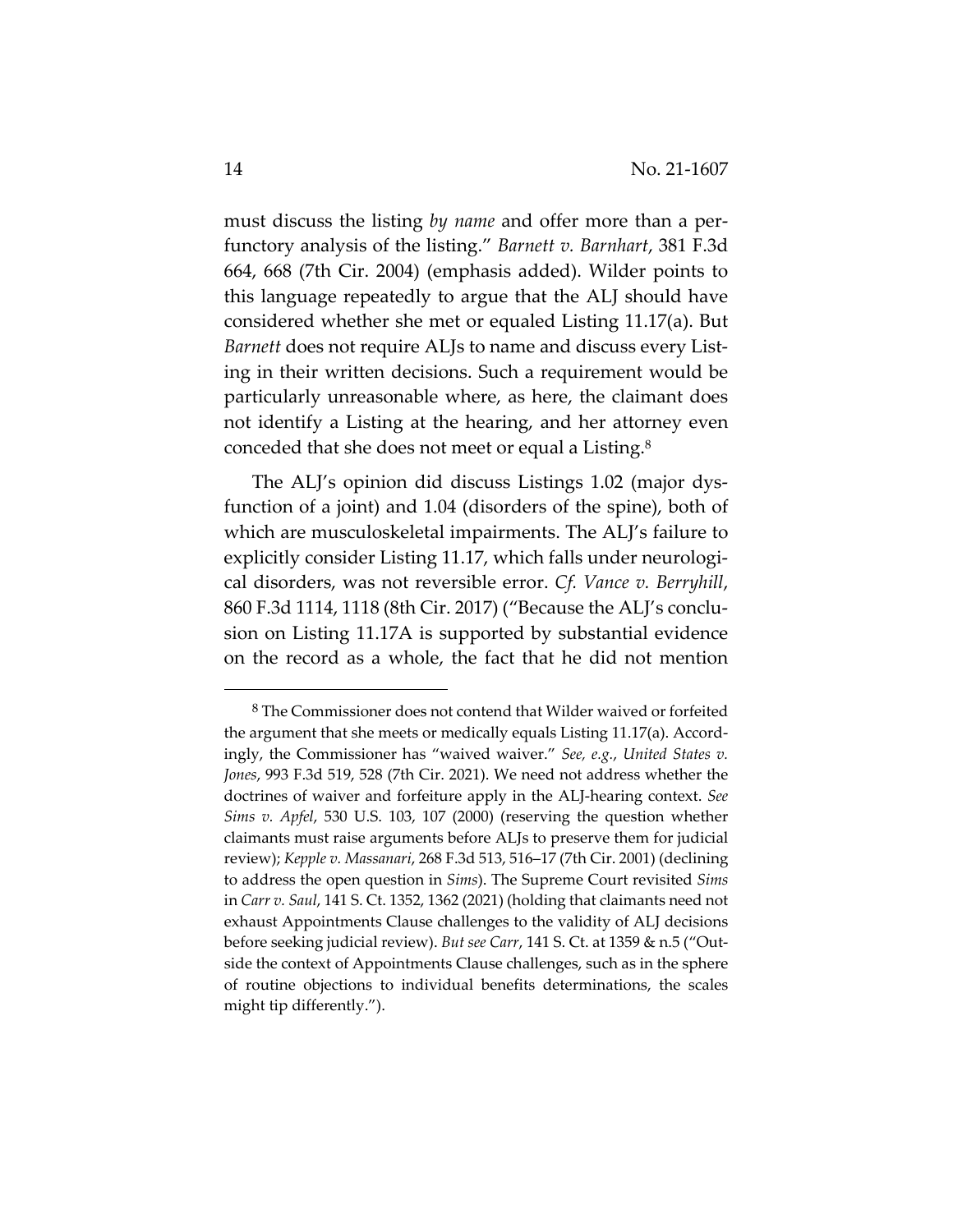must discuss the listing *by name* and offer more than a perfunctory analysis of the listing." *Barnett v. Barnhart*, 381 F.3d 664, 668 (7th Cir. 2004) (emphasis added). Wilder points to this language repeatedly to argue that the ALJ should have considered whether she met or equaled Listing 11.17(a). But *Barnett* does not require ALJs to name and discuss every List‐ ing in their written decisions. Such a requirement would be particularly unreasonable where, as here, the claimant does not identify a Listing at the hearing, and her attorney even conceded that she does not meet or equal a Listing.8

The ALJ's opinion did discuss Listings 1.02 (major dys‐ function of a joint) and 1.04 (disorders of the spine), both of which are musculoskeletal impairments. The ALJ's failure to explicitly consider Listing 11.17, which falls under neurological disorders, was not reversible error. *Cf. Vance v. Berryhill*, 860 F.3d 1114, 1118 (8th Cir. 2017) ("Because the ALJ's conclu‐ sion on Listing 11.17A is supported by substantial evidence on the record as a whole, the fact that he did not mention

<sup>8</sup> The Commissioner does not contend that Wilder waived or forfeited the argument that she meets or medically equals Listing 11.17(a). Accord‐ ingly, the Commissioner has "waived waiver." *See, e.g.*, *United States v. Jones*, 993 F.3d 519, 528 (7th Cir. 2021). We need not address whether the doctrines of waiver and forfeiture apply in the ALJ‐hearing context. *See Sims v. Apfel*, 530 U.S. 103, 107 (2000) (reserving the question whether claimants must raise arguments before ALJs to preserve them for judicial review); *Kepple v. Massanari*, 268 F.3d 513, 516–17 (7th Cir. 2001) (declining to address the open question in *Sims*). The Supreme Court revisited *Sims* in *Carr v. Saul*, 141 S. Ct. 1352, 1362 (2021) (holding that claimants need not exhaust Appointments Clause challenges to the validity of ALJ decisions before seeking judicial review). *But see Carr*, 141 S. Ct. at 1359 & n.5 ("Out‐ side the context of Appointments Clause challenges, such as in the sphere of routine objections to individual benefits determinations, the scales might tip differently.").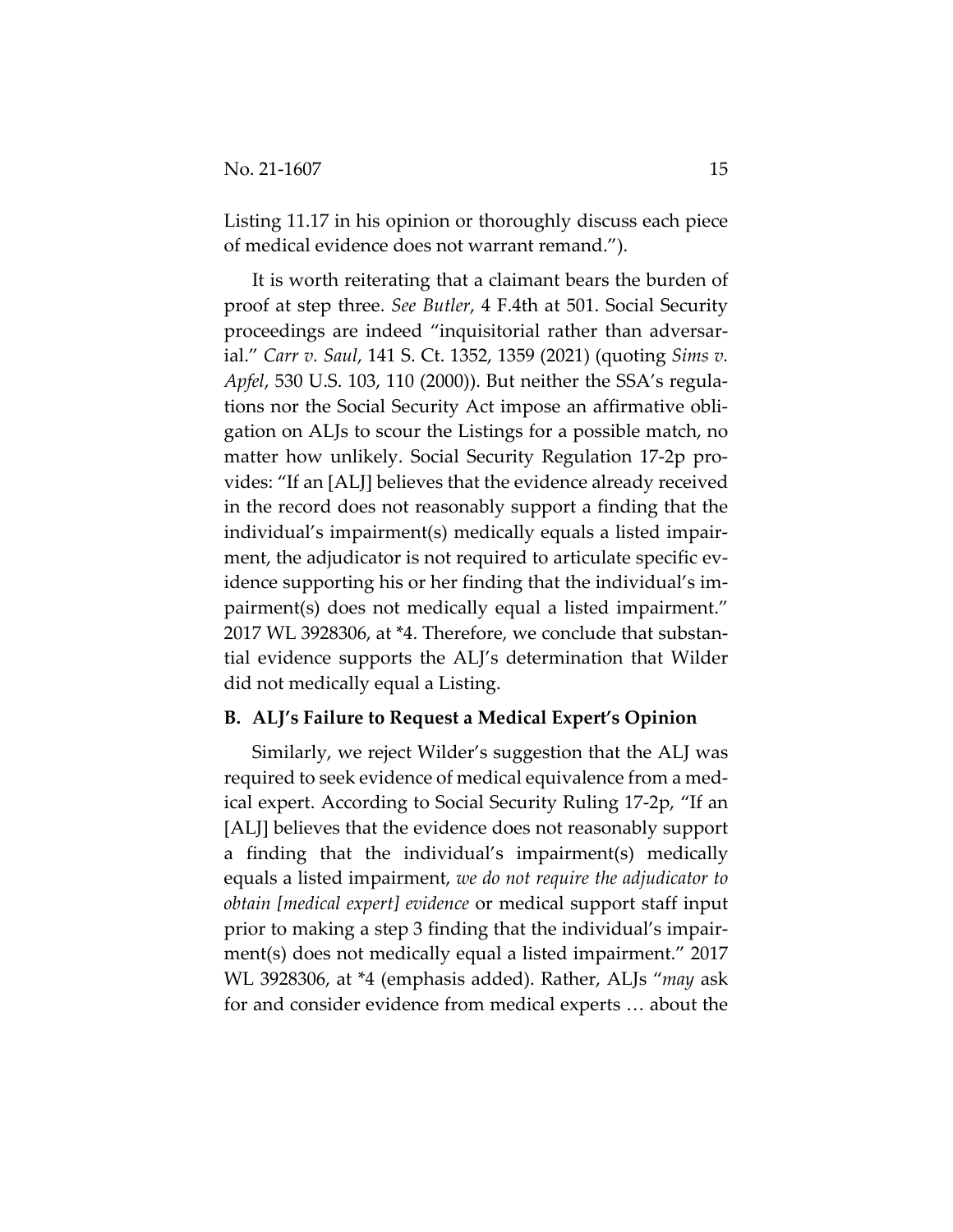Listing 11.17 in his opinion or thoroughly discuss each piece of medical evidence does not warrant remand.").

It is worth reiterating that a claimant bears the burden of proof at step three. *See Butler*, 4 F.4th at 501. Social Security proceedings are indeed "inquisitorial rather than adversar‐ ial." *Carr v. Saul*, 141 S. Ct. 1352, 1359 (2021) (quoting *Sims v. Apfel*, 530 U.S. 103, 110 (2000)). But neither the SSA's regula‐ tions nor the Social Security Act impose an affirmative obli‐ gation on ALJs to scour the Listings for a possible match, no matter how unlikely. Social Security Regulation 17‐2p pro‐ vides: "If an [ALJ] believes that the evidence already received in the record does not reasonably support a finding that the individual's impairment(s) medically equals a listed impair‐ ment, the adjudicator is not required to articulate specific evidence supporting his or her finding that the individual's im‐ pairment(s) does not medically equal a listed impairment." 2017 WL 3928306, at \*4. Therefore, we conclude that substan‐ tial evidence supports the ALJ's determination that Wilder did not medically equal a Listing.

## **B. ALJ's Failure to Request a Medical Expert's Opinion**

Similarly, we reject Wilder's suggestion that the ALJ was required to seek evidence of medical equivalence from a med‐ ical expert. According to Social Security Ruling 17‐2p, "If an [ALJ] believes that the evidence does not reasonably support a finding that the individual's impairment(s) medically equals a listed impairment, *we do not require the adjudicator to obtain [medical expert] evidence* or medical support staff input prior to making a step 3 finding that the individual's impair‐ ment(s) does not medically equal a listed impairment." 2017 WL 3928306, at \*4 (emphasis added). Rather, ALJs "*may* ask for and consider evidence from medical experts … about the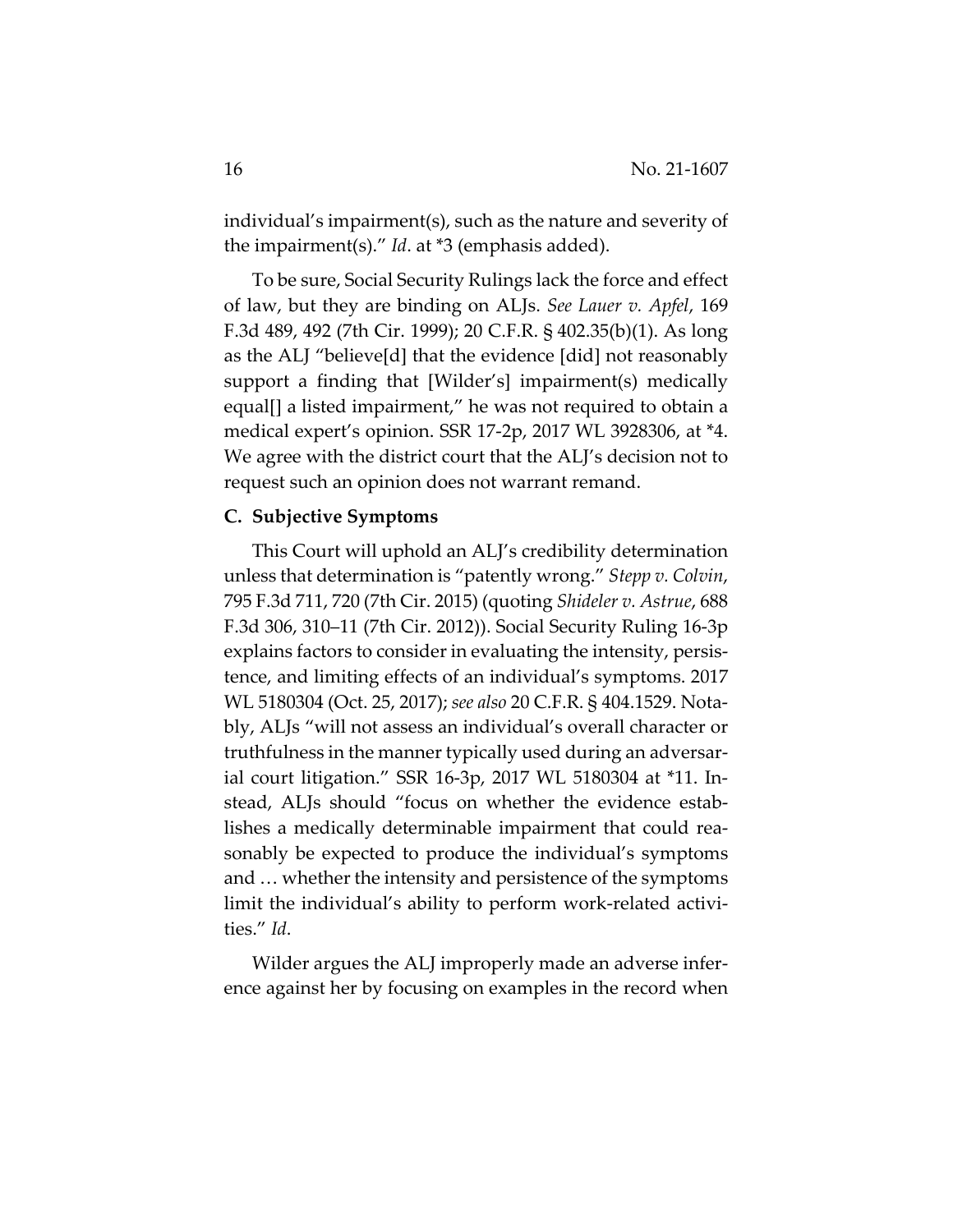individual's impairment(s), such as the nature and severity of the impairment(s)." *Id*. at \*3 (emphasis added).

To be sure, Social Security Rulings lack the force and effect of law, but they are binding on ALJs. *See Lauer v. Apfel*, 169 F.3d 489, 492 (7th Cir. 1999); 20 C.F.R. § 402.35(b)(1). As long as the ALJ "believe[d] that the evidence [did] not reasonably support a finding that [Wilder's] impairment(s) medically equal[] a listed impairment," he was not required to obtain a medical expert's opinion. SSR 17‐2p, 2017 WL 3928306, at \*4. We agree with the district court that the ALJ's decision not to request such an opinion does not warrant remand.

## **C. Subjective Symptoms**

This Court will uphold an ALJ's credibility determination unless that determination is "patently wrong." *Stepp v. Colvin*, 795 F.3d 711, 720 (7th Cir. 2015) (quoting *Shideler v. Astrue*, 688 F.3d 306, 310–11 (7th Cir. 2012)). Social Security Ruling 16‐3p explains factors to consider in evaluating the intensity, persis‐ tence, and limiting effects of an individual's symptoms. 2017 WL 5180304 (Oct. 25, 2017); *see also* 20 C.F.R. § 404.1529. Nota‐ bly, ALJs "will not assess an individual's overall character or truthfulness in the manner typically used during an adversar‐ ial court litigation." SSR 16‐3p, 2017 WL 5180304 at \*11. In‐ stead, ALJs should "focus on whether the evidence estab‐ lishes a medically determinable impairment that could rea‐ sonably be expected to produce the individual's symptoms and … whether the intensity and persistence of the symptoms limit the individual's ability to perform work‐related activi‐ ties." *Id*.

Wilder argues the ALJ improperly made an adverse inference against her by focusing on examples in the record when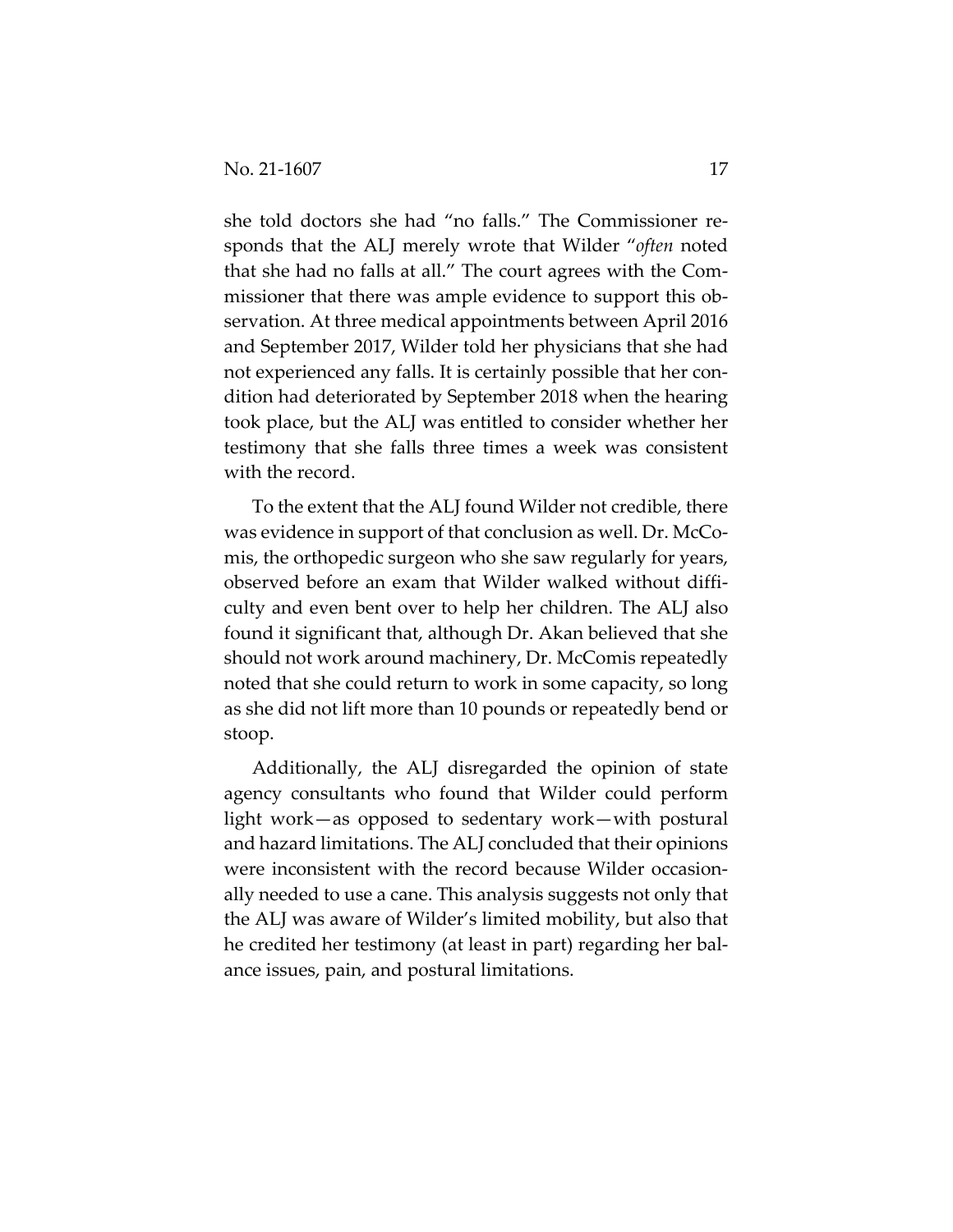she told doctors she had "no falls." The Commissioner responds that the ALJ merely wrote that Wilder "*often* noted that she had no falls at all." The court agrees with the Com‐ missioner that there was ample evidence to support this observation. At three medical appointments between April 2016 and September 2017, Wilder told her physicians that she had not experienced any falls. It is certainly possible that her condition had deteriorated by September 2018 when the hearing took place, but the ALJ was entitled to consider whether her testimony that she falls three times a week was consistent with the record.

To the extent that the ALJ found Wilder not credible, there was evidence in support of that conclusion as well. Dr. McComis, the orthopedic surgeon who she saw regularly for years, observed before an exam that Wilder walked without diffi‐ culty and even bent over to help her children. The ALJ also found it significant that, although Dr. Akan believed that she should not work around machinery, Dr. McComis repeatedly noted that she could return to work in some capacity, so long as she did not lift more than 10 pounds or repeatedly bend or stoop.

Additionally, the ALJ disregarded the opinion of state agency consultants who found that Wilder could perform light work—as opposed to sedentary work—with postural and hazard limitations. The ALJ concluded that their opinions were inconsistent with the record because Wilder occasionally needed to use a cane. This analysis suggests not only that the ALJ was aware of Wilder's limited mobility, but also that he credited her testimony (at least in part) regarding her bal‐ ance issues, pain, and postural limitations.